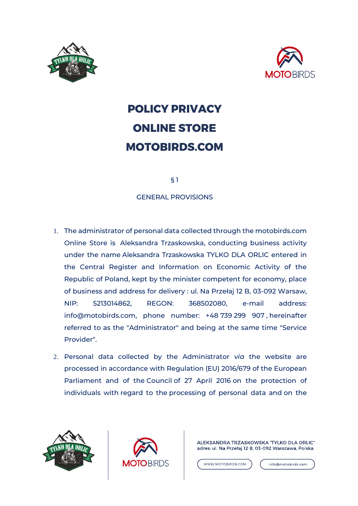



# **POLICY PRIVACY ONLINE STORE MOTOBIRDS.COM**

§ 1

GENERAL PROVISIONS

- 1. The administrator of personal data collected through the motobirds.com Online Store is Aleksandra Trzaskowska, conducting business activity under the name Aleksandra Trzaskowska TYLKO DLA ORLIC entered in the Central Register and Information on Economic Activity of the Republic of Poland, kept by the minister competent for economy, place of business and address for delivery : ul. Na Przełaj 12 B, 03-092 Warsaw, NIP: 5213014862, REGON: 368502080, e-mail address: info@motobirds.com, phone number: +48 739 299 907 , hereinafter referred to as the "Administrator" and being at the same time "Service Provider".
- 2. Personal data collected by the Administrator *via* the website are processed in accordance with Regulation (EU) 2016/679 of the European Parliament and of the Council of 27 April 2016 on the protection of individuals with regard to the processing of personal data and on the





ALEKSANDRA TRZASKOWSKA "TYLKO DLA ORLIC" adres: ul. Na Przełaj 12 B, 03-092 Warszawa, Polska

WWW.MOTOBIRDS.COM

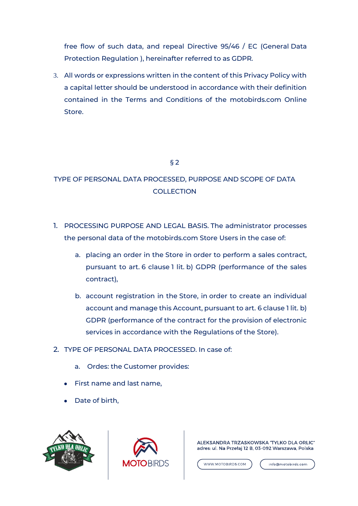free flow of such data, and repeal Directive 95/46 / EC (General Data Protection Regulation ), hereinafter referred to as GDPR.

3. All words or expressions written in the content of this Privacy Policy with a capital letter should be understood in accordance with their definition contained in the Terms and Conditions of the motobirds.com Online Store.

# § 2

# TYPE OF PERSONAL DATA PROCESSED, PURPOSE AND SCOPE OF DATA **COLLECTION**

- 1. PROCESSING PURPOSE AND LEGAL BASIS. The administrator processes the personal data of the motobirds.com Store Users in the case of:
	- a. placing an order in the Store in order to perform a sales contract, pursuant to art. 6 clause 1 lit. b) GDPR (performance of the sales contract),
	- b. account registration in the Store, in order to create an individual account and manage this Account, pursuant to art. 6 clause 1 lit. b) GDPR (performance of the contract for the provision of electronic services in accordance with the Regulations of the Store).
- 2. TYPE OF PERSONAL DATA PROCESSED. In case of:
	- a. Ordes: the Customer provides:
	- First name and last name,
	- Date of birth,





ALEKSANDRA TRZASKOWSKA 'TYLKO DLA ORLIC" adres: ul. Na Przełaj 12 B, 03-092 Warszawa, Polska

WWW.MOTOBIRDS.COM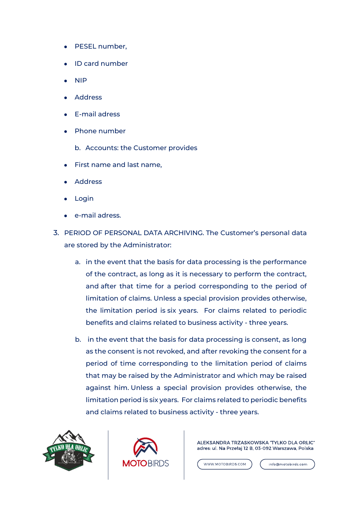- PESEL number,
- ID card number
- NIP
- **Address**
- **E-mail adress**
- **Phone number** 
	- b. Accounts: the Customer provides
- **First name and last name,**
- **Address**
- Login
- e-mail adress.
- 3. PERIOD OF PERSONAL DATA ARCHIVING. The Customer's personal data are stored by the Administrator:
	- a. in the event that the basis for data processing is the performance of the contract, as long as it is necessary to perform the contract, and after that time for a period corresponding to the period of limitation of claims. Unless a special provision provides otherwise, the limitation period is six years. For claims related to periodic benefits and claims related to business activity - three years.
	- b. in the event that the basis for data processing is consent, as long as the consent is not revoked, and after revoking the consent for a period of time corresponding to the limitation period of claims that may be raised by the Administrator and which may be raised against him. Unless a special provision provides otherwise, the limitation period is six years. For claims related to periodic benefits and claims related to business activity - three years.





ALEKSANDRA TRZASKOWSKA "TYLKO DLA ORLIC" adres: ul. Na Przełaj 12 B, 03-092 Warszawa, Polska

WWW.MOTOBIRDS.COM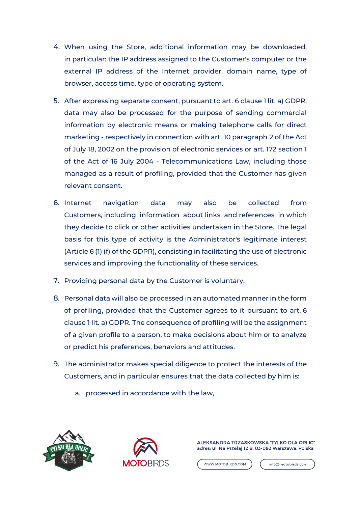- 4. When using the Store, additional information may be downloaded, in particular: the IP address assigned to the Customer's computer or the external IP address of the Internet provider, domain name, type of browser, access time, type of operating system.
- 5. After expressing separate consent, pursuant to art. 6 clause 1 lit. a) GDPR, data may also be processed for the purpose of sending commercial information by electronic means or making telephone calls for direct marketing - respectively in connection with art. 10 paragraph 2 of the Act of July 18, 2002 on the provision of electronic services or art. 172 section 1 of the Act of 16 July 2004 - Telecommunications Law, including those managed as a result of profiling, provided that the Customer has given relevant consent.
- 6. Internet navigation data may also be collected from Customers, including information about links and references in which they decide to click or other activities undertaken in the Store. The legal basis for this type of activity is the Administrator's legitimate interest (Article 6 (1) (f) of the GDPR), consisting in facilitating the use of electronic services and improving the functionality of these services.
- 7. Providing personal data by the Customer is voluntary.
- 8. Personal data will also be processed in an automated manner in the form of profiling, provided that the Customer agrees to it pursuant to art. 6 clause 1 lit. a) GDPR. The consequence of profiling will be the assignment of a given profile to a person, to make decisions about him or to analyze or predict his preferences, behaviors and attitudes.
- 9. The administrator makes special diligence to protect the interests of the Customers, and in particular ensures that the data collected by him is:
	- a. processed in accordance with the law,





ALEKSANDRA TRZASKOWSKA "TYLKO DLA ORLIC" adres: ul. Na Przełaj 12 B, 03-092 Warszawa, Polska

WWW.MOTOBIRDS.COM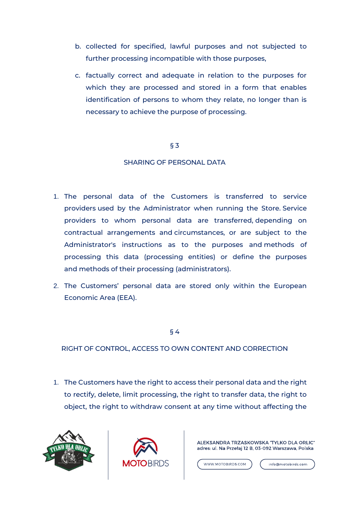- b. collected for specified, lawful purposes and not subjected to further processing incompatible with those purposes,
- c. factually correct and adequate in relation to the purposes for which they are processed and stored in a form that enables identification of persons to whom they relate, no longer than is necessary to achieve the purpose of processing.

### § 3

# SHARING OF PERSONAL DATA

- 1. The personal data of the Customers is transferred to service providers used by the Administrator when running the Store. Service providers to whom personal data are transferred, depending on contractual arrangements and circumstances, or are subject to the Administrator's instructions as to the purposes and methods of processing this data (processing entities) or define the purposes and methods of their processing (administrators).
- 2. The Customers' personal data are stored only within the European Economic Area (EEA).

§ 4

RIGHT OF CONTROL, ACCESS TO OWN CONTENT AND CORRECTION

1. The Customers have the right to access their personal data and the right to rectify, delete, limit processing, the right to transfer data, the right to object, the right to withdraw consent at any time without affecting the





ALEKSANDRA TRZASKOWSKA "TYLKO DLA ORLIC" adres: ul. Na Przełaj 12 B, 03-092 Warszawa, Polska

WWW.MOTOBIRDS.COM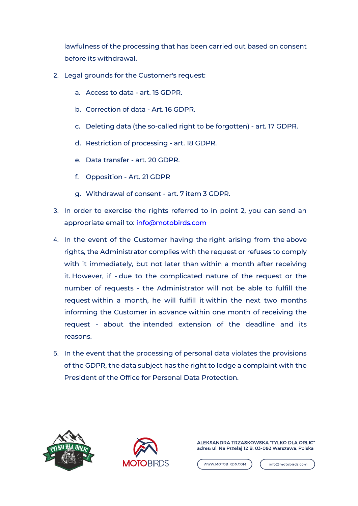lawfulness of the processing that has been carried out based on consent before its withdrawal.

- 2. Legal grounds for the Customer's request:
	- a. Access to data art. 15 GDPR.
	- b. Correction of data Art. 16 GDPR.
	- c. Deleting data (the so-called right to be forgotten) art. 17 GDPR.
	- d. Restriction of processing art. 18 GDPR.
	- e. Data transfer art. 20 GDPR.
	- f. Opposition Art. 21 GDPR
	- g. Withdrawal of consent art. 7 item 3 GDPR.
- 3. In order to exercise the rights referred to in point 2, you can send an appropriate email to: [info@motobirds.com](mailto:info@motobirds.com)
- 4. In the event of the Customer having the right arising from the above rights, the Administrator complies with the request or refuses to comply with it immediately, but not later than within a month after receiving it. However, if - due to the complicated nature of the request or the number of requests - the Administrator will not be able to fulfill the request within a month, he will fulfill it within the next two months informing the Customer in advance within one month of receiving the request - about the intended extension of the deadline and its reasons.
- 5. In the event that the processing of personal data violates the provisions of the GDPR, the data subject has the right to lodge a complaint with the President of the Office for Personal Data Protection.





ALEKSANDRA TRZASKOWSKA 'TYLKO DLA ORLIC" adres: ul. Na Przełaj 12 B, 03-092 Warszawa, Polska

WWW.MOTOBIRDS.COM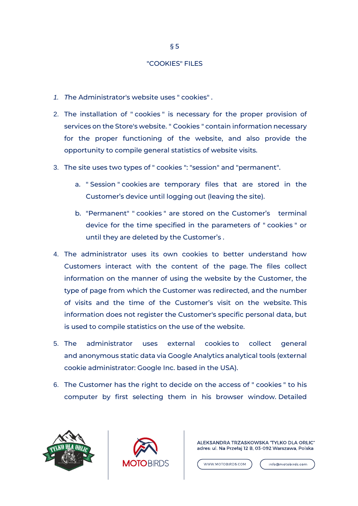#### "COOKIES" FILES

- *1. T*he Administrator's website uses " cookies" .
- 2. The installation of " cookies " is necessary for the proper provision of services on the Store's website. " Cookies " contain information necessary for the proper functioning of the website, and also provide the opportunity to compile general statistics of website visits.
- 3. The site uses two types of " cookies ": "session" and "permanent".
	- a. " Session " cookies are temporary files that are stored in the Customer's device until logging out (leaving the site).
	- b. "Permanent" " cookies " are stored on the Customer's terminal device for the time specified in the parameters of " cookies " or until they are deleted by the Customer's .
- 4. The administrator uses its own cookies to better understand how Customers interact with the content of the page. The files collect information on the manner of using the website by the Customer, the type of page from which the Customer was redirected, and the number of visits and the time of the Customer's visit on the website. This information does not register the Customer's specific personal data, but is used to compile statistics on the use of the website.
- 5. The administrator uses external cookies to collect general and anonymous static data via Google Analytics analytical tools (external cookie administrator: Google Inc. based in the USA).
- 6. The Customer has the right to decide on the access of " cookies " to his computer by first selecting them in his browser window. Detailed





ALEKSANDRA TRZASKOWSKA "TYLKO DLA ORLIC" adres: ul. Na Przełaj 12 B, 03-092 Warszawa, Polska

WWW.MOTOBIRDS.COM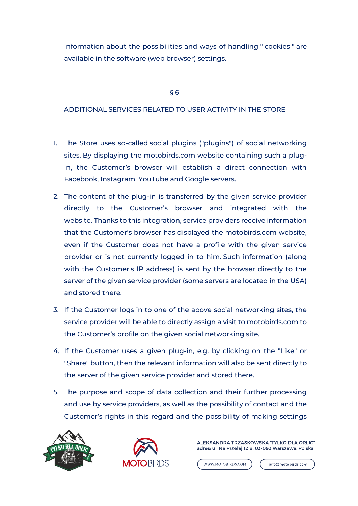information about the possibilities and ways of handling " cookies " are available in the software (web browser) settings.

## § 6

# ADDITIONAL SERVICES RELATED TO USER ACTIVITY IN THE STORE

- 1. The Store uses so-called social plugins ("plugins") of social networking sites. By displaying the motobirds.com website containing such a plugin, the Customer's browser will establish a direct connection with Facebook, Instagram, YouTube and Google servers.
- 2. The content of the plug-in is transferred by the given service provider directly to the Customer's browser and integrated with the website. Thanks to this integration, service providers receive information that the Customer's browser has displayed the motobirds.com website, even if the Customer does not have a profile with the given service provider or is not currently logged in to him. Such information (along with the Customer's IP address) is sent by the browser directly to the server of the given service provider (some servers are located in the USA) and stored there.
- 3. If the Customer logs in to one of the above social networking sites, the service provider will be able to directly assign a visit to motobirds.com to the Customer's profile on the given social networking site.
- 4. If the Customer uses a given plug-in, e.g. by clicking on the "Like" or "Share" button, then the relevant information will also be sent directly to the server of the given service provider and stored there.
- 5. The purpose and scope of data collection and their further processing and use by service providers, as well as the possibility of contact and the Customer's rights in this regard and the possibility of making settings





ALEKSANDRA TRZASKOWSKA "TYLKO DLA ORLIC" adres: ul. Na Przełaj 12 B, 03-092 Warszawa, Polska

WWW.MOTOBIRDS.COM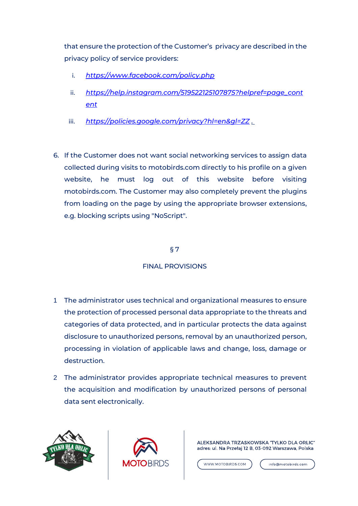that ensure the protection of the Customer's privacy are described in the privacy policy of service providers:

- i. *[https://www.facebook.com/policy.php](https://translate.google.com/translate?hl=en&prev=_t&sl=pl&tl=en&u=https://www.facebook.com/policy.php)*
- ii. *[https://help.instagram.com/519522125107875?helpref=page\\_cont](https://translate.google.com/translate?hl=en&prev=_t&sl=pl&tl=en&u=https://help.instagram.com/519522125107875%3Fhelpref%3Dpage_content) [ent](https://translate.google.com/translate?hl=en&prev=_t&sl=pl&tl=en&u=https://help.instagram.com/519522125107875%3Fhelpref%3Dpage_content)*
- iii. *[https://policies.google.com/privacy?hl=en&gl=ZZ](https://translate.google.com/translate?hl=en&prev=_t&sl=pl&tl=en&u=https://policies.google.com/privacy%3Fhl%3Dpl%26gl%3DZZ) .*
- 6. If the Customer does not want social networking services to assign data collected during visits to motobirds.com directly to his profile on a given website, he must log out of this website before visiting motobirds.com. The Customer may also completely prevent the plugins from loading on the page by using the appropriate browser extensions, e.g. blocking scripts using "NoScript".

# § 7

# FINAL PROVISIONS

- 1 The administrator uses technical and organizational measures to ensure the protection of processed personal data appropriate to the threats and categories of data protected, and in particular protects the data against disclosure to unauthorized persons, removal by an unauthorized person, processing in violation of applicable laws and change, loss, damage or destruction.
- 2 The administrator provides appropriate technical measures to prevent the acquisition and modification by unauthorized persons of personal data sent electronically.





ALEKSANDRA TRZASKOWSKA "TYLKO DLA ORLIC" adres: ul. Na Przełaj 12 B, 03-092 Warszawa, Polska

WWW.MOTOBIRDS.COM